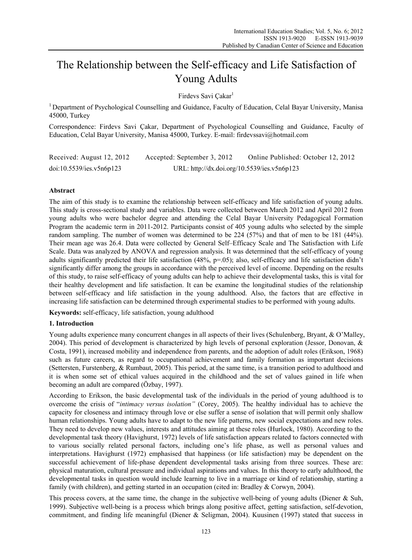# The Relationship between the Self-efficacy and Life Satisfaction of Young Adults

Firdevs Savi Çakar<sup>1</sup>

1 Department of Psychological Counselling and Guidance, Faculty of Education, Celal Bayar University, Manisa 45000, Turkey

Correspondence: Firdevs Savi Çakar, Department of Psychological Counselling and Guidance, Faculty of Education, Celal Bayar University, Manisa 45000, Turkey. E-mail: firdevssavi@hotmail.com

Received: August 12, 2012 Accepted: September 3, 2012 Online Published: October 12, 2012 doi:10.5539/ies.v5n6p123 URL: http://dx.doi.org/10.5539/ies.v5n6p123

## **Abstract**

The aim of this study is to examine the relationship between self-efficacy and life satisfaction of young adults. This study is cross-sectional study and variables. Data were collected between March 2012 and April 2012 from young adults who were bachelor degree and attending the Celal Bayar University Pedagogical Formation Program the academic term in 2011-2012. Participants consist of 405 young adults who selected by the simple random sampling. The number of women was determined to be 224 (57%) and that of men to be 181 (44%). Their mean age was 26.4. Data were collected by General Self–Efficacy Scale and The Satisfaction with Life Scale. Data was analyzed by ANOVA and regression analysis. It was determined that the self-efficacy of young adults significantly predicted their life satisfaction (48%, p=.05); also, self-efficacy and life satisfaction didn't significantly differ among the groups in accordance with the perceived level of income. Depending on the results of this study, to raise self-efficacy of young adults can help to achieve their developmental tasks, this is vital for their healthy development and life satisfaction. It can be examine the longitudinal studies of the relationship between self-efficacy and life satisfaction in the young adulthood. Also, the factors that are effective in increasing life satisfaction can be determined through experimental studies to be performed with young adults.

**Keywords:** self-efficacy, life satisfaction, young adulthood

## **1. Introduction**

Young adults experience many concurrent changes in all aspects of their lives (Schulenberg, Bryant, & O'Malley, 2004). This period of development is characterized by high levels of personal exploration (Jessor, Donovan, & Costa, 1991), increased mobility and independence from parents, and the adoption of adult roles (Erikson, 1968) such as future careers, as regard to occupational achievement and family formation as important decisions (Settersten, Furstenberg, & Rumbaut, 2005). This period, at the same time, is a transition period to adulthood and it is when some set of ethical values acquired in the childhood and the set of values gained in life when becoming an adult are compared (Özbay, 1997).

According to Erikson, the basic developmental task of the individuals in the period of young adulthood is to overcome the crisis of "*intimacy versus isolation"* (Corey, 2005). The healthy individual has to achieve the capacity for closeness and intimacy through love or else suffer a sense of isolation that will permit only shallow human relationships. Young adults have to adapt to the new life patterns, new social expectations and new roles. They need to develop new values, interests and attitudes aiming at these roles (Hurlock, 1980). According to the developmental task theory (Havighurst, 1972) levels of life satisfaction appears related to factors connected with to various socially related personal factors, including one's life phase, as well as personal values and interpretations. Havighurst (1972) emphasised that happiness (or life satisfaction) may be dependent on the successful achievement of life-phase dependent developmental tasks arising from three sources. These are: physical maturation, cultural pressure and individual aspirations and values. In this theory to early adulthood, the developmental tasks in question would include learning to live in a marriage or kind of relationship, starting a family (with children), and getting started in an occupation (cited in: Bradley & Corwyn, 2004).

This process covers, at the same time, the change in the subjective well-being of young adults (Diener & Suh, 1999). Subjective well-being is a process which brings along positive affect, getting satisfaction, self-devotion, commitment, and finding life meaningful (Diener & Seligman, 2004). Kuusinen (1997) stated that success in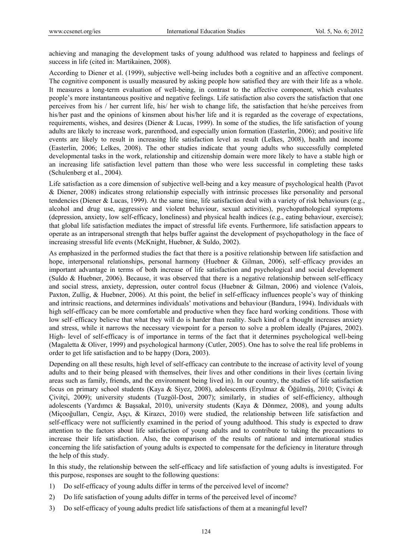achieving and managing the development tasks of young adulthood was related to happiness and feelings of success in life (cited in: Martikainen, 2008).

According to Diener et al. (1999), subjective well-being includes both a cognitive and an affective component. The cognitive component is usually measured by asking people how satisfied they are with their life as a whole. It measures a long-term evaluation of well-being, in contrast to the affective component, which evaluates people's more instantaneous positive and negative feelings. Life satisfaction also covers the satisfaction that one perceives from his / her current life, his/ her wish to change life, the satisfaction that he/she perceives from his/her past and the opinions of kinsmen about his/her life and it is regarded as the coverage of expectations, requirements, wishes, and desires (Diener & Lucas, 1999). In some of the studies, the life satisfaction of young adults are likely to increase work, parenthood, and especially union formation (Easterlin, 2006); and positive life events are likely to result in increasing life satisfaction level as result (Lelkes, 2008), health and income (Easterlin, 2006; Lelkes, 2008). The other studies indicate that young adults who successfully completed developmental tasks in the work, relationship and citizenship domain were more likely to have a stable high or an increasing life satisfaction level pattern than those who were less successful in completing these tasks (Schulenberg et al., 2004).

Life satisfaction as a core dimension of subjective well-being and a key measure of psychological health (Pavot & Diener, 2008) indicates strong relationship especially with intrinsic processes like personality and personal tendencies (Diener & Lucas, 1999). At the same time, life satisfaction deal with a variety of risk behaviours (e.g., alcohol and drug use, aggressive and violent behaviour, sexual activities), psychopathological symptoms (depression, anxiety, low self-efficacy, loneliness) and physical health indices (e.g., eating behaviour, exercise); that global life satisfaction mediates the impact of stressful life events. Furthermore, life satisfaction appears to operate as an intrapersonal strength that helps buffer against the development of psychopathology in the face of increasing stressful life events (McKnight, Huebner, & Suldo, 2002).

As emphasized in the performed studies the fact that there is a positive relationship between life satisfaction and hope, interpersonal relationships, personal harmony (Huebner & Gilman, 2006), self–efficacy provides an important advantage in terms of both increase of life satisfaction and psychological and social development (Suldo & Huebner, 2006). Because, it was observed that there is a negative relationship between self-efficacy and social stress, anxiety, depression, outer control focus (Huebner & Gilman, 2006) and violence (Valois, Paxton, Zullig, & Huebner, 2006). At this point, the belief in self-efficacy influences people's way of thinking and intrinsic reactions, and determines individuals' motivations and behaviour (Bandura, 1994). Individuals with high self-efficacy can be more comfortable and productive when they face hard working conditions. Those with low self–efficacy believe that what they will do is harder than reality. Such kind of a thought increases anxiety and stress, while it narrows the necessary viewpoint for a person to solve a problem ideally (Pajares, 2002). High- level of self-efficacy is of importance in terms of the fact that it determines psychological well-being (Magaletta & Oliver, 1999) and psychological harmony (Cutler, 2005). One has to solve the real life problems in order to get life satisfaction and to be happy (Dora, 2003).

Depending on all these results, high level of self-efficacy can contribute to the increase of activity level of young adults and to their being pleased with themselves, their lives and other conditions in their lives (certain living areas such as family, friends, and the environment being lived in). In our country, the studies of life satisfaction focus on primary school students (Kaya & Siyez, 2008), adolescents (Eryılmaz & Öğülmüş, 2010; Çivitçi & Çivitçi, 2009); university students (Tuzgöl-Dost, 2007); similarly, in studies of self-efficiency, although adolescents (Yardımcı & Başsakal, 2010), university students (Kaya & Dönmez, 2008), and young adults (Miçooğulları, Cengiz, Aşçı, & Kirazcı, 2010) were studied, the relationship between life satisfaction and self-efficacy were not sufficiently examined in the period of young adulthood. This study is expected to draw attention to the factors about life satisfaction of young adults and to contribute to taking the precautions to increase their life satisfaction. Also, the comparison of the results of national and international studies concerning the life satisfaction of young adults is expected to compensate for the deficiency in literature through the help of this study.

In this study, the relationship between the self-efficacy and life satisfaction of young adults is investigated. For this purpose, responses are sought to the following questions:

- 1) Do self-efficacy of young adults differ in terms of the perceived level of income?
- 2) Do life satisfaction of young adults differ in terms of the perceived level of income?
- 3) Do self-efficacy of young adults predict life satisfactions of them at a meaningful level?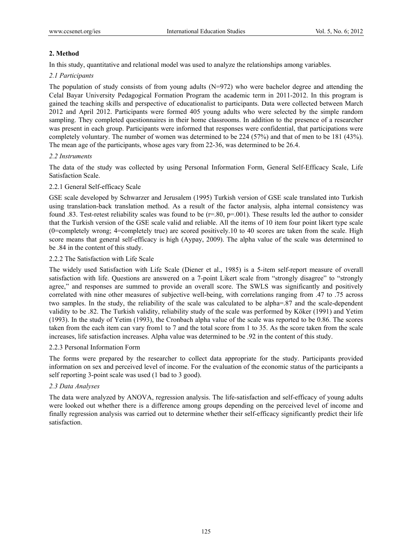## **2. Method**

In this study, quantitative and relational model was used to analyze the relationships among variables.

## *2.1 Participants*

The population of study consists of from young adults (N=972) who were bachelor degree and attending the Celal Bayar University Pedagogical Formation Program the academic term in 2011-2012. In this program is gained the teaching skills and perspective of educationalist to participants. Data were collected between March 2012 and April 2012. Participants were formed 405 young adults who were selected by the simple random sampling. They completed questionnaires in their home classrooms. In addition to the presence of a researcher was present in each group. Participants were informed that responses were confidential, that participations were completely voluntary. The number of women was determined to be 224 (57%) and that of men to be 181 (43%). The mean age of the participants, whose ages vary from 22-36, was determined to be 26.4.

## *2.2 Instruments*

The data of the study was collected by using Personal Information Form, General Self-Efficacy Scale, Life Satisfaction Scale.

## 2.2.1 General Self-efficacy Scale

GSE scale developed by Schwarzer and Jerusalem (1995) Turkish version of GSE scale translated into Turkish using translation-back translation method. As a result of the factor analysis, alpha internal consistency was found .83. Test-retest reliability scales was found to be  $(r=.80, p=.001)$ . These results led the author to consider that the Turkish version of the GSE scale valid and reliable. All the items of 10 item four point likert type scale (0=completely wrong; 4=completely true) are scored positively.10 to 40 scores are taken from the scale. High score means that general self-efficacy is high (Aypay, 2009). The alpha value of the scale was determined to be .84 in the content of this study.

## 2.2.2 The Satisfaction with Life Scale

The widely used Satisfaction with Life Scale (Diener et al., 1985) is a 5-item self-report measure of overall satisfaction with life. Questions are answered on a 7-point Likert scale from "strongly disagree" to "strongly agree," and responses are summed to provide an overall score. The SWLS was significantly and positively correlated with nine other measures of subjective well-being, with correlations ranging from .47 to .75 across two samples. In the study, the reliability of the scale was calculated to be alpha=.87 and the scale-dependent validity to be .82. The Turkish validity, reliability study of the scale was performed by Köker (1991) and Yetim (1993). In the study of Yetim (1993), the Cronbach alpha value of the scale was reported to be 0.86. The scores taken from the each item can vary from1 to 7 and the total score from 1 to 35. As the score taken from the scale increases, life satisfaction increases. Alpha value was determined to be .92 in the content of this study.

## 2.2.3 Personal Information Form

The forms were prepared by the researcher to collect data appropriate for the study. Participants provided information on sex and perceived level of income. For the evaluation of the economic status of the participants a self reporting 3-point scale was used (1 bad to 3 good).

## *2.3 Data Analyses*

The data were analyzed by ANOVA, regression analysis. The life-satisfaction and self-efficacy of young adults were looked out whether there is a difference among groups depending on the perceived level of income and finally regression analysis was carried out to determine whether their self-efficacy significantly predict their life satisfaction.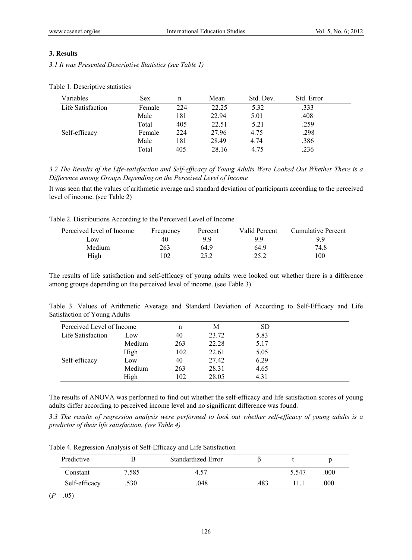## **3. Results**

*3.1 It was Presented Descriptive Statistics (see Table 1)* 

| Variables         | Sex    | n   | Mean  | Std. Dev. | Std. Error |  |
|-------------------|--------|-----|-------|-----------|------------|--|
| Life Satisfaction | Female | 224 | 22.25 | 5.32      | .333       |  |
|                   | Male   | 181 | 22.94 | 5.01      | .408       |  |
|                   | Total  | 405 | 22.51 | 5.21      | .259       |  |
| Self-efficacy     | Female | 224 | 27.96 | 4.75      | .298       |  |
|                   | Male   | 181 | 28.49 | 4.74      | .386       |  |
|                   | Total  | 405 | 28.16 | 4.75      | .236       |  |

Table 1. Descriptive statistics

*3.2 The Results of the Life-satisfaction and Self-efficacy of Young Adults Were Looked Out Whether There is a Difference among Groups Depending on the Perceived Level of Income* 

It was seen that the values of arithmetic average and standard deviation of participants according to the perceived level of income. (see Table 2)

Table 2. Distributions According to the Perceived Level of Income

| Perceived level of Income | Frequency | Percent | Valid Percent | Cumulative Percent |
|---------------------------|-----------|---------|---------------|--------------------|
| Low                       | 40        | 9.9     | 99            | 99                 |
| Medium                    | 263       | 64.9    | 64.9          | 74.8               |
| High                      |           | つくつ     | つぐ つ          | 100                |

The results of life satisfaction and self-efficacy of young adults were looked out whether there is a difference among groups depending on the perceived level of income. (see Table 3)

Table 3. Values of Arithmetic Average and Standard Deviation of According to Self-Efficacy and Life Satisfaction of Young Adults

| Perceived Level of Income |        | n   | Μ     | SD   |  |
|---------------------------|--------|-----|-------|------|--|
| Life Satisfaction         | Low    | 40  | 23.72 | 5.83 |  |
|                           | Medium | 263 | 22.28 | 5.17 |  |
|                           | High   | 102 | 22.61 | 5.05 |  |
| Self-efficacy             | Low    | 40  | 27.42 | 6.29 |  |
|                           | Medium | 263 | 28.31 | 4.65 |  |
|                           | High   | 102 | 28.05 | 4.31 |  |

The results of ANOVA was performed to find out whether the self-efficacy and life satisfaction scores of young adults differ according to perceived income level and no significant difference was found.

*3.3 The results of regression analysis were performed to look out whether self-efficacy of young adults is a predictor of their life satisfaction. (see Table 4)* 

|  |  |  | Table 4. Regression Analysis of Self-Efficacy and Life Satisfaction |
|--|--|--|---------------------------------------------------------------------|
|  |  |  |                                                                     |

| Predictive    |       | Standardized Error |     |       |      |  |
|---------------|-------|--------------------|-----|-------|------|--|
| Constant      | 7.585 | 4.57               |     | 5.547 | .000 |  |
| Self-efficacy | .530  | .048               | 483 |       | .000 |  |

 $(P=.05)$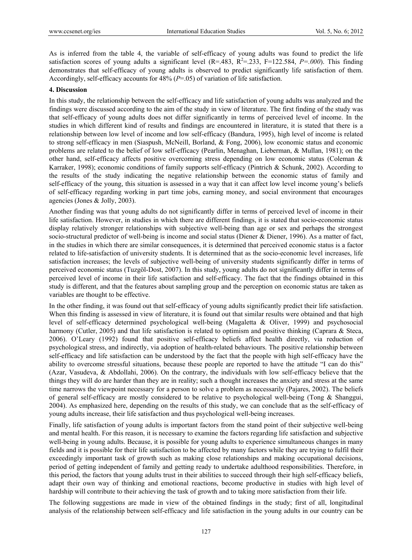As is inferred from the table 4, the variable of self-efficacy of young adults was found to predict the life satisfaction scores of young adults a significant level  $(R=.483, R^2=.233, F=122.584, P=.000$ . This finding demonstrates that self-efficacy of young adults is observed to predict significantly life satisfaction of them. Accordingly, self-efficacy accounts for 48% (*P*=.05) of variation of life satisfaction.

#### **4. Discussion**

In this study, the relationship between the self-efficacy and life satisfaction of young adults was analyzed and the findings were discussed according to the aim of the study in view of literature. The first finding of the study was that self-efficacy of young adults does not differ significantly in terms of perceived level of income. In the studies in which different kind of results and findings are encountered in literature, it is stated that there is a relationship between low level of income and low self-efficacy (Bandura, 1995), high level of income is related to strong self-efficacy in men (Siaspush, McNeill, Borland, & Fong, 2006), low economic status and economic problems are related to the belief of low self-efficacy (Pearlin, Menaghan, Lieberman, & Mullan, 1981); on the other hand, self-efficacy affects positive overcoming stress depending on low economic status (Coleman & Karraker, 1998); economic conditions of family supports self-efficacy (Pintrich & Schunk, 2002). According to the results of the study indicating the negative relationship between the economic status of family and self-efficacy of the young, this situation is assessed in a way that it can affect low level income young's beliefs of self-efficacy regarding working in part time jobs, earning money, and social environment that encourages agencies (Jones & Jolly, 2003).

Another finding was that young adults do not significantly differ in terms of perceived level of income in their life satisfaction. However, in studies in which there are different findings, it is stated that socio-economic status display relatively stronger relationships with subjective well-being than age or sex and perhaps the strongest socio-structural predictor of well-being is income and social status (Diener & Diener, 1996). As a matter of fact, in the studies in which there are similar consequences, it is determined that perceived economic status is a factor related to life-satisfaction of university students. It is determined that as the socio-economic level increases, life satisfaction increases; the levels of subjective well-being of university students significantly differ in terms of perceived economic status (Tuzgöl-Dost, 2007). In this study, young adults do not significantly differ in terms of perceived level of income in their life satisfaction and self-efficacy. The fact that the findings obtained in this study is different, and that the features about sampling group and the perception on economic status are taken as variables are thought to be effective.

In the other finding, it was found out that self-efficacy of young adults significantly predict their life satisfaction. When this finding is assessed in view of literature, it is found out that similar results were obtained and that high level of self-efficacy determined psychological well-being (Magaletta & Oliver, 1999) and psychosocial harmony (Cutler, 2005) and that life satisfaction is related to optimism and positive thinking (Caprara & Steca, 2006). O'Leary (1992) found that positive self-efficacy beliefs affect health directly, via reduction of psychological stress, and indirectly, via adoption of health-related behaviours. The positive relationship between self-efficacy and life satisfaction can be understood by the fact that the people with high self-efficacy have the ability to overcome stressful situations, because these people are reported to have the attitude "I can do this" (Azar, Vasudeva, & Abdollahi, 2006). On the contrary, the individuals with low self-efficacy believe that the things they will do are harder than they are in reality; such a thought increases the anxiety and stress at the same time narrows the viewpoint necessary for a person to solve a problem as necessarily (Pajares, 2002). The beliefs of general self-efficacy are mostly considered to be relative to psychological well-being (Tong & Shanggui, 2004). As emphasized here, depending on the results of this study, we can conclude that as the self-efficacy of young adults increase, their life satisfaction and thus psychological well-being increases.

Finally, life satisfaction of young adults is important factors from the stand point of their subjective well-being and mental health. For this reason, it is necessary to examine the factors regarding life satisfaction and subjective well-being in young adults. Because, it is possible for young adults to experience simultaneous changes in many fields and it is possible for their life satisfaction to be affected by many factors while they are trying to fulfil their exceedingly important task of growth such as making close relationships and making occupational decisions, period of getting independent of family and getting ready to undertake adulthood responsibilities. Therefore, in this period, the factors that young adults trust in their abilities to succeed through their high self-efficacy beliefs, adapt their own way of thinking and emotional reactions, become productive in studies with high level of hardship will contribute to their achieving the task of growth and to taking more satisfaction from their life.

The following suggestions are made in view of the obtained findings in the study; first of all, longitudinal analysis of the relationship between self-efficacy and life satisfaction in the young adults in our country can be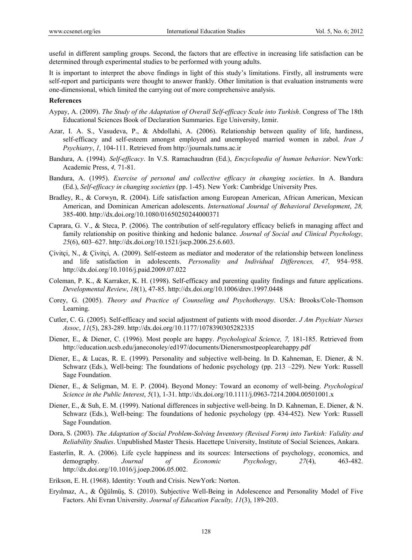useful in different sampling groups. Second, the factors that are effective in increasing life satisfaction can be determined through experimental studies to be performed with young adults.

It is important to interpret the above findings in light of this study's limitations. Firstly, all instruments were self-report and participants were thought to answer frankly. Other limitation is that evaluation instruments were one-dimensional, which limited the carrying out of more comprehensive analysis.

#### **References**

- Aypay, A. (2009). *The Study of the Adaptation of Overall Self-efficacy Scale into Turkish*. Congress of The 18th Educational Sciences Book of Declaration Summaries. Ege University, Izmir.
- Azar, I. A. S., Vasudeva, P., & Abdollahi, A. (2006). Relationship between quality of life, hardiness, self-efficacy and self-esteem amongst employed and unemployed married women in zabol. *Iran J Psychiatry*, *1,* 104-111. Retrieved from http://journals.tums.ac.ir
- Bandura, A. (1994). *Self-efficacy*. In V.S. Ramachaudran (Ed.), *Encyclopedia of human behavior*. NewYork: Academic Press, *4,* 71-81.
- Bandura, A. (1995). *Exercise of personal and collective efficacy in changing societies*. In A. Bandura (Ed.), *Self-efficacy in changing societies* (pp. 1-45). New York: Cambridge University Pres.
- Bradley, R., & Corwyn, R. (2004). Life satisfaction among European American, African American, Mexican American, and Dominican American adolescents. *International Journal of Behavioral Development*, *28,*  385-400. http://dx.doi.org/10.1080/01650250244000371
- Caprara, G. V., & Steca, P. (2006). The contribution of self-regulatory efficacy beliefs in managing affect and family relationship on positive thinking and hedonic balance. *Journal of Social and Clinical Psychology, 25*(6), 603–627. http://dx.doi.org/10.1521/jscp.2006.25.6.603.
- Çivitçi, N., & Çivitçi, A. (2009). Self-esteem as mediator and moderator of the relationship between loneliness and life satisfaction in adolescents. *Personality and Individual Differences, 47,* 954–958. http://dx.doi.org/10.1016/j.paid.2009.07.022
- Coleman, P. K., & Karraker, K. H. (1998). Self-efficacy and parenting quality findings and future applications. *Developmental Review*, *18*(1), 47-85. http://dx.doi.org/10.1006/drev.1997.0448
- Corey, G. (2005). *Theory and Practice of Counseling and Psychotherapy*. USA: Brooks/Cole-Thomson Learning.
- Cutler, C. G. (2005). Self-efficacy and social adjustment of patients with mood disorder. *J Am Psychiatr Nurses Assoc*, *11*(5), 283-289. http://dx.doi.org/10.1177/1078390305282335
- Diener, E., & Diener, C. (1996). Most people are happy. *Psychological Science, 7,* 181-185. Retrieved from http://education.ucsb.edu/janeconoley/ed197/documents/Dienersmostpeoplearehappy.pdf
- Diener, E., & Lucas, R. E. (1999). Personality and subjective well-being. In D. Kahneman, E. Diener, & N. Schwarz (Eds.), Well-being: The foundations of hedonic psychology (pp. 213 –229). New York: Russell Sage Foundation.
- Diener, E., & Seligman, M. E. P. (2004). Beyond Money: Toward an economy of well-being. *Psychological Science in the Public Interest*, *5*(1), 1-31. http://dx.doi.org/10.1111/j.0963-7214.2004.00501001.x
- Diener, E., & Suh, E. M. (1999). National differences in subjective well-being. In D. Kahneman, E. Diener, & N. Schwarz (Eds.), Well-being: The foundations of hedonic psychology (pp. 434-452). New York: Russell Sage Foundation.
- Dora, S. (2003). *The Adaptation of Social Problem-Solving Inventory (Revised Form) into Turkish: Validity and Reliability Studies*. Unpublished Master Thesis. Hacettepe University, Institute of Social Sciences, Ankara.
- Easterlin, R. A. (2006). Life cycle happiness and its sources: Intersections of psychology, economics, and demography. *Journal of Economic Psychology*, *27*(4), 463-482. http://dx.doi.org/10.1016/j.joep.2006.05.002.
- Erikson, E. H. (1968). Identity: Youth and Crisis. NewYork: Norton.
- Eryılmaz, A., & Öğülmüş, S. (2010). Subjective Well-Being in Adolescence and Personality Model of Five Factors. Ahi Evran University. *Journal of Education Faculty, 11*(3), 189-203.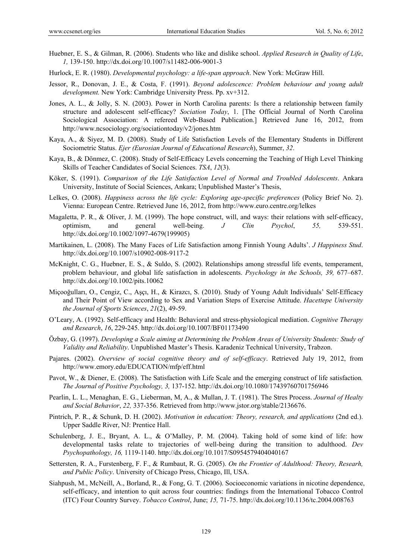- Huebner, E. S., & Gilman, R. (2006). Students who like and dislike school. *Applied Research in Quality of Life*, *1,* 139-150. http://dx.doi.org/10.1007/s11482-006-9001-3
- Hurlock, E. R. (1980). *Developmental psychology: a life-span approach*. New York: McGraw Hill.
- Jessor, R., Donovan, J. E., & Costa, F. (1991). *Beyond adolescence: Problem behaviour and young adult development.* New York: Cambridge University Press. Pp. xv+312.
- Jones, A. L., & Jolly, S. N. (2003). Power in North Carolina parents: Is there a relationship between family structure and adolescent self-efficacy? *Sociation Today*, 1. [The Official Journal of North Carolina Sociological Association: A refereed Web-Based Publication.] Retrieved June 16, 2012, from http://www.ncsociology.org/sociationtoday/v2/jones.htm
- Kaya, A., & Siyez, M. D. (2008). Study of Life Satisfaction Levels of the Elementary Students in Different Sociometric Status. *Ejer (Eurosian Journal of Educational Research*), Summer, *32*.
- Kaya, B., & Dönmez, C. (2008). Study of Self-Efficacy Levels concerning the Teaching of High Level Thinking Skills of Teacher Candidates of Social Sciences. *TSA*, *12*(3).
- Köker, S. (1991). *Comparison of the Life Satisfaction Level of Normal and Troubled Adolescents*. Ankara University, Institute of Social Sciences, Ankara; Unpublished Master's Thesis,
- Lelkes, O. (2008). *Happiness across the life cycle: Exploring age-specific preferences* (Policy Brief No. 2). Vienna: European Centre. Retrieved June 16, 2012, from http://www.euro.centre.org/lelkes
- Magaletta, P. R., & Oliver, J. M. (1999). The hope construct, will, and ways: their relations with self-efficacy, optimism, and general well-being. *J Clin Psychol*, *55,* 539-551. http://dx.doi.org/10.1002/1097-4679(199905)
- Martikainen, L. (2008). The Many Faces of Life Satisfaction among Finnish Young Adults'. *J Happiness Stud*. http://dx.doi.org/10.1007/s10902-008-9117-2
- McKnight, C. G., Huebner, E. S., & Suldo, S. (2002). Relationships among stressful life events, temperament, problem behaviour, and global life satisfaction in adolescents. *Psychology in the Schools, 39,* 677–687. http://dx.doi.org/10.1002/pits.10062
- Miçooğulları, O., Cengiz, C., Aşçı, H., & Kirazcı, S. (2010). Study of Young Adult Individuals' Self-Efficacy and Their Point of View according to Sex and Variation Steps of Exercise Attitude. *Hacettepe University the Journal of Sports Sciences*, *21*(2), 49-59.
- O'Leary, A. (1992). Self-efficacy and Health: Behavioral and stress-physiological mediation. *Cognitive Therapy and Research*, *16*, 229-245. http://dx.doi.org/10.1007/BF01173490
- Özbay, G. (1997). *Developing a Scale aiming at Determining the Problem Areas of University Students: Study of Validity and Reliability*. Unpublished Master's Thesis. Karadeniz Technical University, Trabzon.
- Pajares. (2002). *Overview of social cognitive theory and of self-efficacy*. Retrieved July 19, 2012, from http://www.emory.edu/EDUCATION/mfp/eff.html
- Pavot, W., & Diener, E. (2008). The Satisfaction with Life Scale and the emerging construct of life satisfaction*. The Journal of Positive Psychology, 3,* 137-152. http://dx.doi.org/10.1080/17439760701756946
- Pearlin, L. L., Menaghan, E. G., Lieberman, M, A., & Mullan, J. T. (1981). The Stres Process. *Journal of Healty and Social Behavior*, *22,* 337-356. Retrieved from http://www.jstor.org/stable/2136676.
- Pintrich, P. R., & Schunk, D. H. (2002). *Motivation in education: Theory, research, and applications* (2nd ed.). Upper Saddle River, NJ: Prentice Hall.
- Schulenberg, J. E., Bryant, A. L., & O'Malley, P. M. (2004). Taking hold of some kind of life: how developmental tasks relate to trajectories of well-being during the transition to adulthood. *Dev Psychopathology, 16,* 1119-1140. http://dx.doi.org/10.1017/S0954579404040167
- Settersten, R. A., Furstenberg, F. F., & Rumbaut, R. G. (2005). *On the Frontier of Adulthood: Theory, Researh, and Public Policy*. University of Chicago Press, Chicago, Ill, USA.
- Siahpush, M., McNeill, A., Borland, R., & Fong, G. T. (2006). Socioeconomic variations in nicotine dependence, self-efficacy, and intention to quit across four countries: findings from the International Tobacco Control (ITC) Four Country Survey. *Tobacco Control*, June; *15,* 71-75. http://dx.doi.org/10.1136/tc.2004.008763